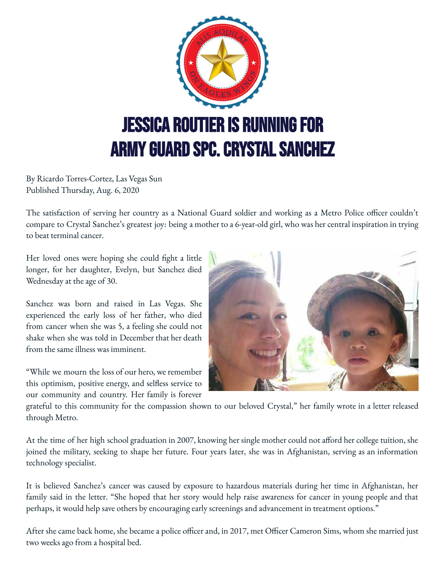

By Ricardo Torres-Cortez, Las Vegas Sun Published Thursday, Aug. 6, 2020

The satisfaction of serving her country as a National Guard soldier and working as a Metro Police officer couldn't compare to Crystal Sanchez's greatest joy: being a mother to a 6-year-old girl, who was her central inspiration in trying to beat terminal cancer.

Her loved ones were hoping she could fight a little longer, for her daughter, Evelyn, but Sanchez died Wednesday at the age of 30.

Sanchez was born and raised in Las Vegas. She experienced the early loss of her father, who died from cancer when she was 5, a feeling she could not shake when she was told in December that her death from the same illness was imminent.

"While we mourn the loss of our hero, we remember this optimism, positive energy, and selfless service to our community and country. Her family is forever



grateful to this community for the compassion shown to our beloved Crystal," her family wrote in a letter released through Metro.

At the time of her high school graduation in 2007, knowing her single mother could not afford her college tuition, she joined the military, seeking to shape her future. Four years later, she was in Afghanistan, serving as an information technology specialist.

It is believed Sanchez's cancer was caused by exposure to hazardous materials during her time in Afghanistan, her family said in the letter. "She hoped that her story would help raise awareness for cancer in young people and that perhaps, it would help save others by encouraging early screenings and advancement in treatment options."

After she came back home, she became a police officer and, in 2017, met Officer Cameron Sims, whom she married just two weeks ago from a hospital bed.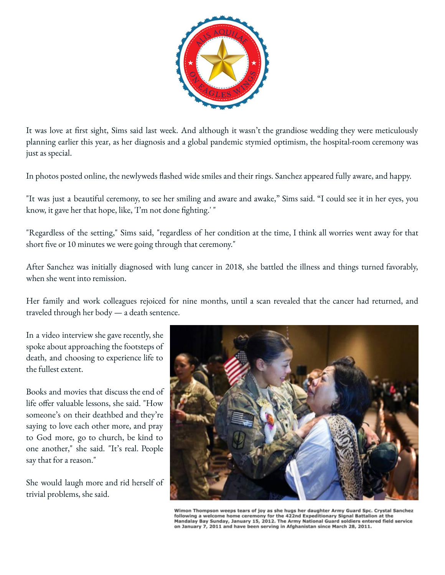

It was love at first sight, Sims said last week. And although it wasn't the grandiose wedding they were meticulously planning earlier this year, as her diagnosis and a global pandemic stymied optimism, the hospital-room ceremony was just as special.

In photos posted online, the newlyweds flashed wide smiles and their rings. Sanchez appeared fully aware, and happy.

"It was just a beautiful ceremony, to see her smiling and aware and awake," Sims said. "I could see it in her eyes, you know, it gave her that hope, like, 'I'm not done fighting.' "

"Regardless of the setting," Sims said, "regardless of her condition at the time, I think all worries went away for that short five or 10 minutes we were going through that ceremony."

After Sanchez was initially diagnosed with lung cancer in 2018, she battled the illness and things turned favorably, when she went into remission.

Her family and work colleagues rejoiced for nine months, until a scan revealed that the cancer had returned, and traveled through her body — a death sentence.

In a video interview she gave recently, she spoke about approaching the footsteps of death, and choosing to experience life to the fullest extent.

Books and movies that discuss the end of life offer valuable lessons, she said. "How someone's on their deathbed and they're saying to love each other more, and pray to God more, go to church, be kind to one another," she said. "It's real. People say that for a reason."

She would laugh more and rid herself of trivial problems, she said.



Wimon Thompson weeps tears of joy as she hugs her daughter Army Guard Spc. Crystal Sanchez<br>following a welcome home ceremony for the 422nd Expeditionary Signal Battalion at the Mandalay Bay Sunday, January 15, 2012. The Army National Guard soldiers entered field service on January 7, 2011 and have been serving in Afghanistan since March 28, 2011.